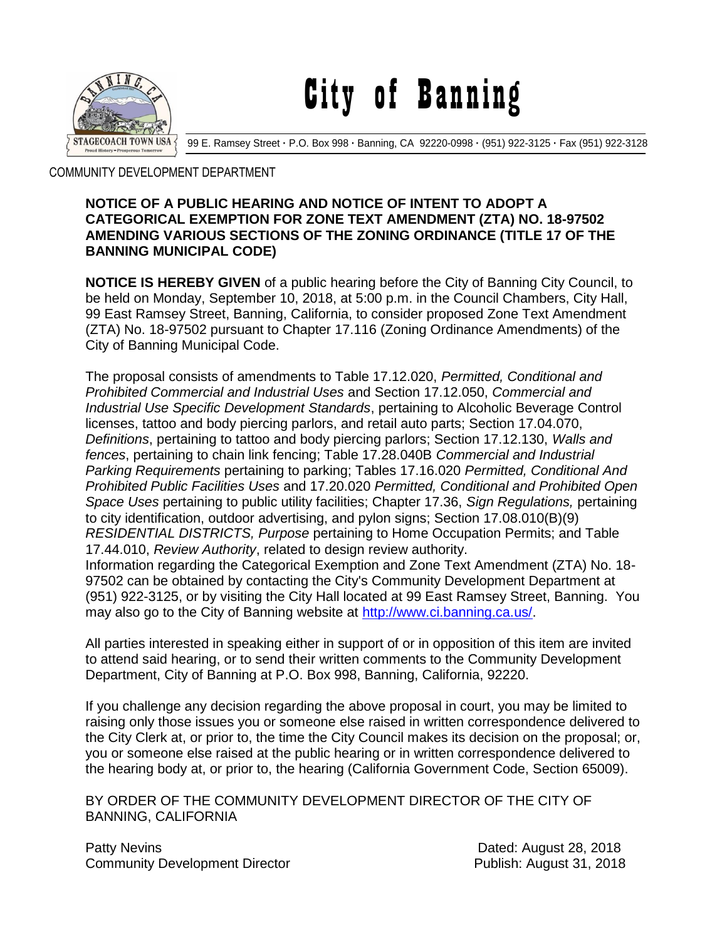

City of Banning

99 E. Ramsey Street **·** P.O. Box 998 **·** Banning, CA 92220-0998 **·** (951) 922-3125 **·** Fax (951) 922-3128

COMMUNITY DEVELOPMENT DEPARTMENT

## **NOTICE OF A PUBLIC HEARING AND NOTICE OF INTENT TO ADOPT A CATEGORICAL EXEMPTION FOR ZONE TEXT AMENDMENT (ZTA) NO. 18-97502 AMENDING VARIOUS SECTIONS OF THE ZONING ORDINANCE (TITLE 17 OF THE BANNING MUNICIPAL CODE)**

**NOTICE IS HEREBY GIVEN** of a public hearing before the City of Banning City Council, to be held on Monday, September 10, 2018, at 5:00 p.m. in the Council Chambers, City Hall, 99 East Ramsey Street, Banning, California, to consider proposed Zone Text Amendment (ZTA) No. 18-97502 pursuant to Chapter 17.116 (Zoning Ordinance Amendments) of the City of Banning Municipal Code.

The proposal consists of amendments to Table 17.12.020, *Permitted, Conditional and Prohibited Commercial and Industrial Uses* and Section 17.12.050, *Commercial and Industrial Use Specific Development Standards*, pertaining to Alcoholic Beverage Control licenses, tattoo and body piercing parlors, and retail auto parts; Section 17.04.070, *Definitions*, pertaining to tattoo and body piercing parlors; Section 17.12.130, *Walls and fences*, pertaining to chain link fencing; Table 17.28.040B *Commercial and Industrial Parking Requirements* pertaining to parking; Tables 17.16.020 *Permitted, Conditional And Prohibited Public Facilities Uses* and 17.20.020 *Permitted, Conditional and Prohibited Open Space Uses* pertaining to public utility facilities; Chapter 17.36, *Sign Regulations,* pertaining to city identification, outdoor advertising, and pylon signs; Section 17.08.010(B)(9) *RESIDENTIAL DISTRICTS, Purpose* pertaining to Home Occupation Permits; and Table 17.44.010, *Review Authority*, related to design review authority. Information regarding the Categorical Exemption and Zone Text Amendment (ZTA) No. 18- 97502 can be obtained by contacting the City's Community Development Department at (951) 922-3125, or by visiting the City Hall located at 99 East Ramsey Street, Banning. You may also go to the City of Banning website at [http://www.ci.banning.ca.us/.](http://www.ci.banning.ca.us/)

All parties interested in speaking either in support of or in opposition of this item are invited to attend said hearing, or to send their written comments to the Community Development Department, City of Banning at P.O. Box 998, Banning, California, 92220.

If you challenge any decision regarding the above proposal in court, you may be limited to raising only those issues you or someone else raised in written correspondence delivered to the City Clerk at, or prior to, the time the City Council makes its decision on the proposal; or, you or someone else raised at the public hearing or in written correspondence delivered to the hearing body at, or prior to, the hearing (California Government Code, Section 65009).

BY ORDER OF THE COMMUNITY DEVELOPMENT DIRECTOR OF THE CITY OF BANNING, CALIFORNIA

Patty Nevins **Patty News** 28, 2018 Community Development Director **Publish:** August 31, 2018